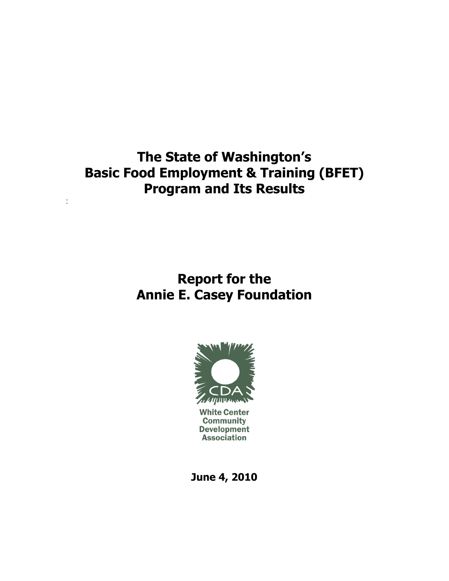# **The State of Washington's Basic Food Employment & Training (BFET) Program and Its Results**

:

# **Report for the Annie E. Casey Foundation**



**White Center Community Development Association** 

**June 4, 2010**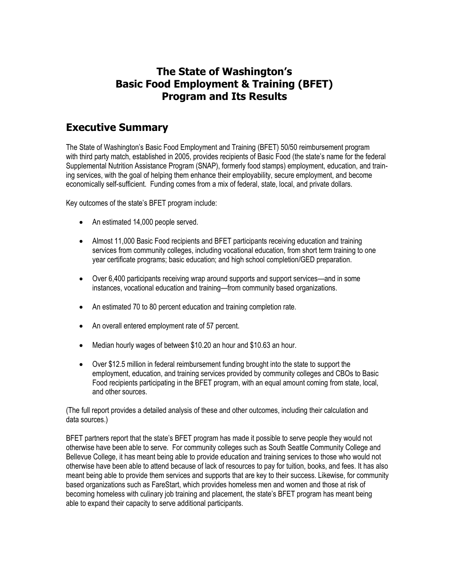## **The State of Washington's Basic Food Employment & Training (BFET) Program and Its Results**

## **Executive Summary**

The State of Washington's Basic Food Employment and Training (BFET) 50/50 reimbursement program with third party match, established in 2005, provides recipients of Basic Food (the state's name for the federal Supplemental Nutrition Assistance Program (SNAP), formerly food stamps) employment, education, and training services, with the goal of helping them enhance their employability, secure employment, and become economically self-sufficient. Funding comes from a mix of federal, state, local, and private dollars.

Key outcomes of the state's BFET program include:

- An estimated 14,000 people served.
- Almost 11,000 Basic Food recipients and BFET participants receiving education and training services from community colleges, including vocational education, from short term training to one year certificate programs; basic education; and high school completion/GED preparation.
- Over 6,400 participants receiving wrap around supports and support services—and in some instances, vocational education and training—from community based organizations.
- An estimated 70 to 80 percent education and training completion rate.
- An overall entered employment rate of 57 percent.
- Median hourly wages of between \$10.20 an hour and \$10.63 an hour.
- Over \$12.5 million in federal reimbursement funding brought into the state to support the employment, education, and training services provided by community colleges and CBOs to Basic Food recipients participating in the BFET program, with an equal amount coming from state, local, and other sources.

(The full report provides a detailed analysis of these and other outcomes, including their calculation and data sources.)

BFET partners report that the state's BFET program has made it possible to serve people they would not otherwise have been able to serve. For community colleges such as South Seattle Community College and Bellevue College, it has meant being able to provide education and training services to those who would not otherwise have been able to attend because of lack of resources to pay for tuition, books, and fees. It has also meant being able to provide them services and supports that are key to their success. Likewise, for community based organizations such as FareStart, which provides homeless men and women and those at risk of becoming homeless with culinary job training and placement, the state's BFET program has meant being able to expand their capacity to serve additional participants.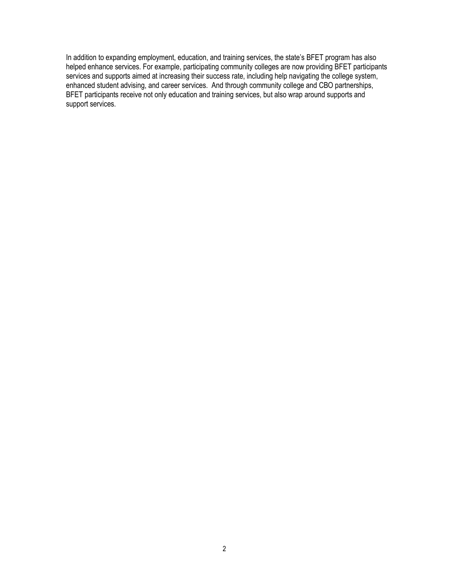In addition to expanding employment, education, and training services, the state's BFET program has also helped enhance services. For example, participating community colleges are now providing BFET participants services and supports aimed at increasing their success rate, including help navigating the college system, enhanced student advising, and career services. And through community college and CBO partnerships, BFET participants receive not only education and training services, but also wrap around supports and support services.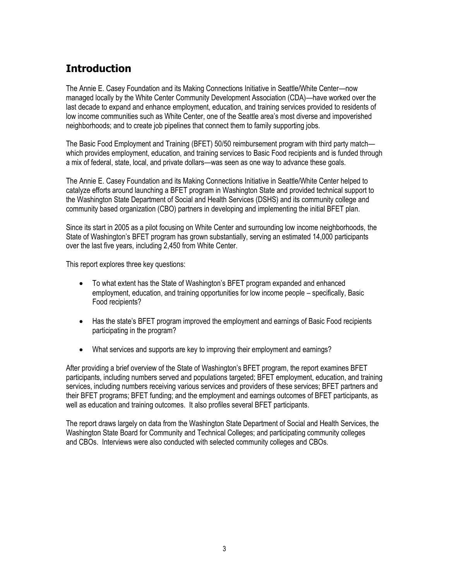## **Introduction**

The Annie E. Casey Foundation and its Making Connections Initiative in Seattle/White Center—now managed locally by the White Center Community Development Association (CDA)—have worked over the last decade to expand and enhance employment, education, and training services provided to residents of low income communities such as White Center, one of the Seattle area's most diverse and impoverished neighborhoods; and to create job pipelines that connect them to family supporting jobs.

The Basic Food Employment and Training (BFET) 50/50 reimbursement program with third party match which provides employment, education, and training services to Basic Food recipients and is funded through a mix of federal, state, local, and private dollars—was seen as one way to advance these goals.

The Annie E. Casey Foundation and its Making Connections Initiative in Seattle/White Center helped to catalyze efforts around launching a BFET program in Washington State and provided technical support to the Washington State Department of Social and Health Services (DSHS) and its community college and community based organization (CBO) partners in developing and implementing the initial BFET plan.

Since its start in 2005 as a pilot focusing on White Center and surrounding low income neighborhoods, the State of Washington's BFET program has grown substantially, serving an estimated 14,000 participants over the last five years, including 2,450 from White Center.

This report explores three key questions:

- To what extent has the State of Washington's BFET program expanded and enhanced employment, education, and training opportunities for low income people – specifically, Basic Food recipients?
- Has the state's BFET program improved the employment and earnings of Basic Food recipients participating in the program?
- What services and supports are key to improving their employment and earnings?

After providing a brief overview of the State of Washington's BFET program, the report examines BFET participants, including numbers served and populations targeted; BFET employment, education, and training services, including numbers receiving various services and providers of these services; BFET partners and their BFET programs; BFET funding; and the employment and earnings outcomes of BFET participants, as well as education and training outcomes. It also profiles several BFET participants.

The report draws largely on data from the Washington State Department of Social and Health Services, the Washington State Board for Community and Technical Colleges; and participating community colleges and CBOs. Interviews were also conducted with selected community colleges and CBOs.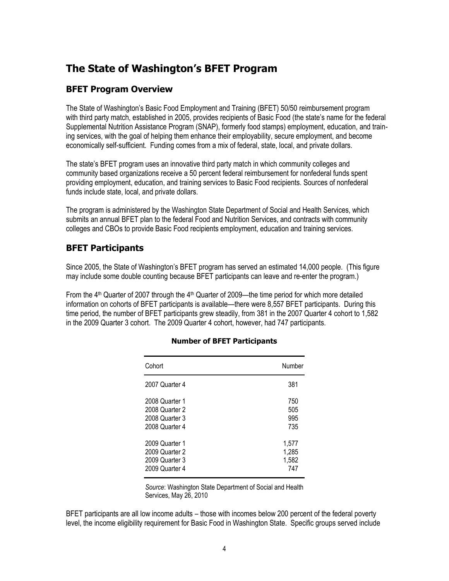## **The State of Washington's BFET Program**

## **BFET Program Overview**

The State of Washington's Basic Food Employment and Training (BFET) 50/50 reimbursement program with third party match, established in 2005, provides recipients of Basic Food (the state's name for the federal Supplemental Nutrition Assistance Program (SNAP), formerly food stamps) employment, education, and training services, with the goal of helping them enhance their employability, secure employment, and become economically self-sufficient. Funding comes from a mix of federal, state, local, and private dollars.

The state's BFET program uses an innovative third party match in which community colleges and community based organizations receive a 50 percent federal reimbursement for nonfederal funds spent providing employment, education, and training services to Basic Food recipients. Sources of nonfederal funds include state, local, and private dollars.

The program is administered by the Washington State Department of Social and Health Services, which submits an annual BFET plan to the federal Food and Nutrition Services, and contracts with community colleges and CBOs to provide Basic Food recipients employment, education and training services.

## **BFET Participants**

Since 2005, the State of Washington's BFET program has served an estimated 14,000 people. (This figure may include some double counting because BFET participants can leave and re-enter the program.)

From the  $4<sup>th</sup>$  Quarter of 2007 through the  $4<sup>th</sup>$  Quarter of 2009—the time period for which more detailed information on cohorts of BFET participants is available—there were 8,557 BFET participants. During this time period, the number of BFET participants grew steadily, from 381 in the 2007 Quarter 4 cohort to 1,582 in the 2009 Quarter 3 cohort. The 2009 Quarter 4 cohort, however, had 747 participants.

| Cohort         | Number |
|----------------|--------|
| 2007 Quarter 4 | 381    |
| 2008 Quarter 1 | 750    |
| 2008 Quarter 2 | 505    |
| 2008 Quarter 3 | 995    |
| 2008 Quarter 4 | 735    |
| 2009 Quarter 1 | 1,577  |
| 2009 Quarter 2 | 1,285  |
| 2009 Quarter 3 | 1,582  |
| 2009 Quarter 4 | 747    |

### **Number of BFET Participants**

*Source*: Washington State Department of Social and Health Services, May 26, 2010

BFET participants are all low income adults – those with incomes below 200 percent of the federal poverty level, the income eligibility requirement for Basic Food in Washington State. Specific groups served include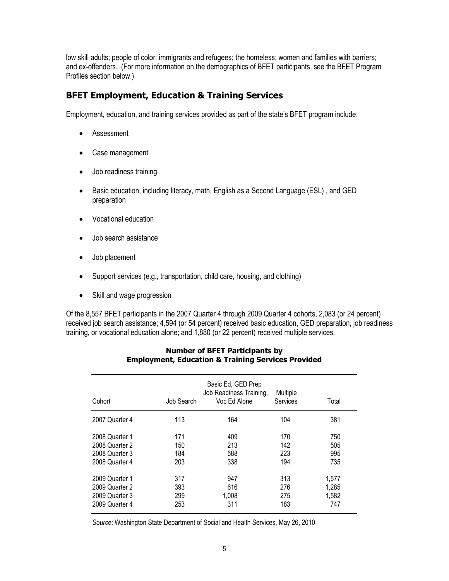low skill adults; people of color; immigrants and refugees; the homeless; women and families with barriers; and ex-offenders. (For more information on the demographics of BFET participants, see the BFET Program Profiles section below.)

## **BFET Employment, Education & Training Services**

Employment, education, and training services provided as part of the state's BFET program include:

- Assessment
- Case management
- Job readiness training
- Basic education, including literacy, math, English as a Second Language (ESL), and GED preparation
- Vocational education
- Job search assistance
- Job placement
- Support services (e.g., transportation, child care, housing, and clothing)
- Skill and wage progression

Of the 8,557 BFET participants in the 2007 Quarter 4 through 2009 Quarter 4 cohorts, 2,083 (or 24 percent) received job search assistance; 4,594 (or 54 percent) received basic education, GED preparation, job readiness training, or vocational education alone; and 1,880 (or 22 percent) received multiple services.

| Cohort         | Job Search | Basic Ed, GED Prep<br>Job Readiness Training,<br>Voc Ed Alone | Multiple<br>Services | Total |
|----------------|------------|---------------------------------------------------------------|----------------------|-------|
| 2007 Quarter 4 | 113        | 164                                                           | 104                  | 381   |
| 2008 Quarter 1 | 171        | 409                                                           | 170                  | 750   |
| 2008 Quarter 2 | 150        | 213                                                           | 142                  | 505   |
| 2008 Quarter 3 | 184        | 588                                                           | 223                  | 995   |
| 2008 Quarter 4 | 203        | 338                                                           | 194                  | 735   |
| 2009 Quarter 1 | 317        | 947                                                           | 313                  | 1,577 |
| 2009 Quarter 2 | 393        | 616                                                           | 276                  | 1,285 |
| 2009 Quarter 3 | 299        | 1,008                                                         | 275                  | 1,582 |
| 2009 Quarter 4 | 253        | 311                                                           | 183                  | 747   |

#### **Number of BFET Participants by Employment, Education & Training Services Provided**

*Source*: Washington State Department of Social and Health Services, May 26, 2010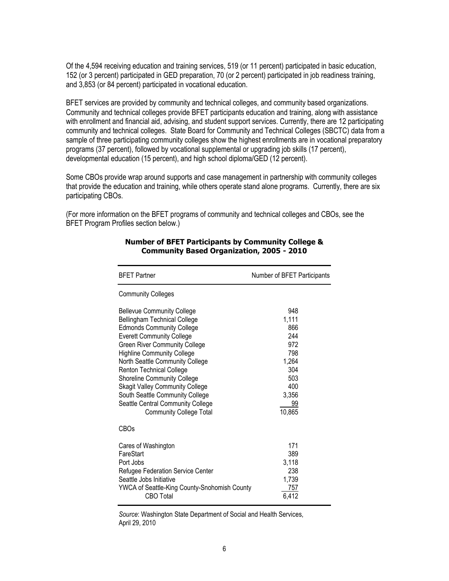Of the 4,594 receiving education and training services, 519 (or 11 percent) participated in basic education, 152 (or 3 percent) participated in GED preparation, 70 (or 2 percent) participated in job readiness training, and 3,853 (or 84 percent) participated in vocational education.

BFET services are provided by community and technical colleges, and community based organizations. Community and technical colleges provide BFET participants education and training, along with assistance with enrollment and financial aid, advising, and student support services. Currently, there are 12 participating community and technical colleges. State Board for Community and Technical Colleges (SBCTC) data from a sample of three participating community colleges show the highest enrollments are in vocational preparatory programs (37 percent), followed by vocational supplemental or upgrading job skills (17 percent), developmental education (15 percent), and high school diploma/GED (12 percent).

Some CBOs provide wrap around supports and case management in partnership with community colleges that provide the education and training, while others operate stand alone programs. Currently, there are six participating CBOs.

(For more information on the BFET programs of community and technical colleges and CBOs, see the BFET Program Profiles section below.)

| <b>BFET Partner</b>                                                                                                                                                                                                                                                                                                                                                                                                                                                                    | Number of BFET Participants                                                                     |
|----------------------------------------------------------------------------------------------------------------------------------------------------------------------------------------------------------------------------------------------------------------------------------------------------------------------------------------------------------------------------------------------------------------------------------------------------------------------------------------|-------------------------------------------------------------------------------------------------|
| <b>Community Colleges</b>                                                                                                                                                                                                                                                                                                                                                                                                                                                              |                                                                                                 |
| <b>Bellevue Community College</b><br><b>Bellingham Technical College</b><br><b>Edmonds Community College</b><br><b>Everett Community College</b><br><b>Green River Community College</b><br><b>Highline Community College</b><br>North Seattle Community College<br>Renton Technical College<br><b>Shoreline Community College</b><br><b>Skagit Valley Community College</b><br>South Seattle Community College<br>Seattle Central Community College<br><b>Community College Total</b> | 948<br>1,111<br>866<br>244<br>972<br>798<br>1,264<br>304<br>503<br>400<br>3,356<br>99<br>10,865 |
| CBOs                                                                                                                                                                                                                                                                                                                                                                                                                                                                                   |                                                                                                 |
| Cares of Washington<br>FareStart<br>Port Jobs<br>Refugee Federation Service Center<br>Seattle Jobs Initiative<br>YWCA of Seattle-King County-Snohomish County<br><b>CBO</b> Total                                                                                                                                                                                                                                                                                                      | 171<br>389<br>3,118<br>238<br>1,739<br>757<br>6.412                                             |

#### **Number of BFET Participants by Community College & Community Based Organization, 2005 - 2010**

*Source*: Washington State Department of Social and Health Services, April 29, 2010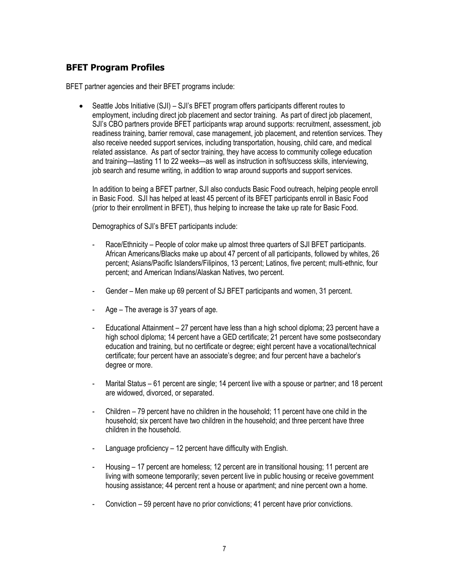## **BFET Program Profiles**

BFET partner agencies and their BFET programs include:

• Seattle Jobs Initiative (SJI) – SJI's BFET program offers participants different routes to employment, including direct job placement and sector training. As part of direct job placement, SJI's CBO partners provide BFET participants wrap around supports: recruitment, assessment, job readiness training, barrier removal, case management, job placement, and retention services. They also receive needed support services, including transportation, housing, child care, and medical related assistance. As part of sector training, they have access to community college education and training—lasting 11 to 22 weeks—as well as instruction in soft/success skills, interviewing, job search and resume writing, in addition to wrap around supports and support services.

In addition to being a BFET partner, SJI also conducts Basic Food outreach, helping people enroll in Basic Food. SJI has helped at least 45 percent of its BFET participants enroll in Basic Food (prior to their enrollment in BFET), thus helping to increase the take up rate for Basic Food.

Demographics of SJI's BFET participants include:

- Race/Ethnicity People of color make up almost three quarters of SJI BFET participants. African Americans/Blacks make up about 47 percent of all participants, followed by whites, 26 percent; Asians/Pacific Islanders/Filipinos, 13 percent; Latinos, five percent; multi-ethnic, four percent; and American Indians/Alaskan Natives, two percent.
- Gender Men make up 69 percent of SJ BFET participants and women, 31 percent.
- Age The average is 37 years of age.
- Educational Attainment 27 percent have less than a high school diploma; 23 percent have a high school diploma; 14 percent have a GED certificate; 21 percent have some postsecondary education and training, but no certificate or degree; eight percent have a vocational/technical certificate; four percent have an associate's degree; and four percent have a bachelor's degree or more.
- Marital Status 61 percent are single; 14 percent live with a spouse or partner; and 18 percent are widowed, divorced, or separated.
- Children 79 percent have no children in the household; 11 percent have one child in the household; six percent have two children in the household; and three percent have three children in the household.
- Language proficiency 12 percent have difficulty with English.
- Housing 17 percent are homeless; 12 percent are in transitional housing; 11 percent are living with someone temporarily; seven percent live in public housing or receive government housing assistance; 44 percent rent a house or apartment; and nine percent own a home.
- Conviction 59 percent have no prior convictions; 41 percent have prior convictions.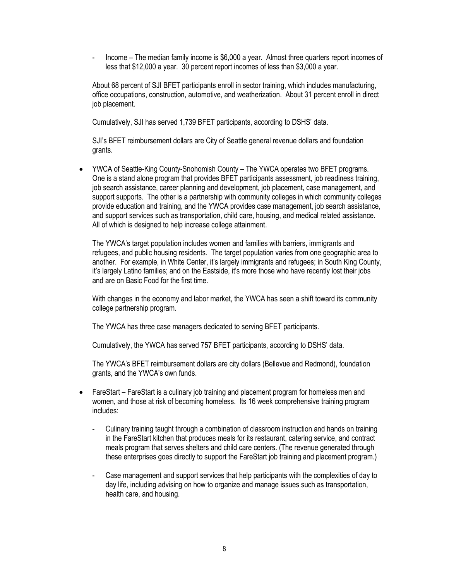- Income – The median family income is \$6,000 a year. Almost three quarters report incomes of less that \$12,000 a year. 30 percent report incomes of less than \$3,000 a year.

About 68 percent of SJI BFET participants enroll in sector training, which includes manufacturing, office occupations, construction, automotive, and weatherization. About 31 percent enroll in direct job placement.

Cumulatively, SJI has served 1,739 BFET participants, according to DSHS' data.

SJI's BFET reimbursement dollars are City of Seattle general revenue dollars and foundation grants.

 YWCA of Seattle-King County-Snohomish County – The YWCA operates two BFET programs. One is a stand alone program that provides BFET participants assessment, job readiness training, job search assistance, career planning and development, job placement, case management, and support supports. The other is a partnership with community colleges in which community colleges provide education and training, and the YWCA provides case management, job search assistance, and support services such as transportation, child care, housing, and medical related assistance. All of which is designed to help increase college attainment.

The YWCA's target population includes women and families with barriers, immigrants and refugees, and public housing residents. The target population varies from one geographic area to another. For example, in White Center, it's largely immigrants and refugees; in South King County, it's largely Latino families; and on the Eastside, it's more those who have recently lost their jobs and are on Basic Food for the first time.

With changes in the economy and labor market, the YWCA has seen a shift toward its community college partnership program.

The YWCA has three case managers dedicated to serving BFET participants.

Cumulatively, the YWCA has served 757 BFET participants, according to DSHS' data.

The YWCA's BFET reimbursement dollars are city dollars (Bellevue and Redmond), foundation grants, and the YWCA's own funds.

- FareStart FareStart is a culinary job training and placement program for homeless men and women, and those at risk of becoming homeless. Its 16 week comprehensive training program includes:
	- Culinary training taught through a combination of classroom instruction and hands on training in the FareStart kitchen that produces meals for its restaurant, catering service, and contract meals program that serves shelters and child care centers. (The revenue generated through these enterprises goes directly to support the FareStart job training and placement program.)
	- Case management and support services that help participants with the complexities of day to day life, including advising on how to organize and manage issues such as transportation, health care, and housing.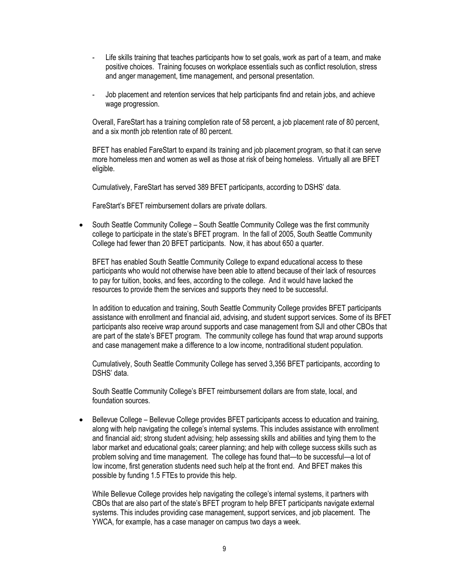- Life skills training that teaches participants how to set goals, work as part of a team, and make positive choices. Training focuses on workplace essentials such as conflict resolution, stress and anger management, time management, and personal presentation.
- Job placement and retention services that help participants find and retain jobs, and achieve wage progression.

Overall, FareStart has a training completion rate of 58 percent, a job placement rate of 80 percent, and a six month job retention rate of 80 percent.

BFET has enabled FareStart to expand its training and job placement program, so that it can serve more homeless men and women as well as those at risk of being homeless. Virtually all are BFET eligible.

Cumulatively, FareStart has served 389 BFET participants, according to DSHS' data.

FareStart's BFET reimbursement dollars are private dollars.

 South Seattle Community College – South Seattle Community College was the first community college to participate in the state's BFET program. In the fall of 2005, South Seattle Community College had fewer than 20 BFET participants. Now, it has about 650 a quarter.

BFET has enabled South Seattle Community College to expand educational access to these participants who would not otherwise have been able to attend because of their lack of resources to pay for tuition, books, and fees, according to the college. And it would have lacked the resources to provide them the services and supports they need to be successful.

In addition to education and training, South Seattle Community College provides BFET participants assistance with enrollment and financial aid, advising, and student support services. Some of its BFET participants also receive wrap around supports and case management from SJI and other CBOs that are part of the state's BFET program. The community college has found that wrap around supports and case management make a difference to a low income, nontraditional student population.

Cumulatively, South Seattle Community College has served 3,356 BFET participants, according to DSHS' data.

South Seattle Community College's BFET reimbursement dollars are from state, local, and foundation sources.

 Bellevue College – Bellevue College provides BFET participants access to education and training, along with help navigating the college's internal systems. This includes assistance with enrollment and financial aid; strong student advising; help assessing skills and abilities and tying them to the labor market and educational goals; career planning; and help with college success skills such as problem solving and time management. The college has found that—to be successful—a lot of low income, first generation students need such help at the front end. And BFET makes this possible by funding 1.5 FTEs to provide this help.

While Bellevue College provides help navigating the college's internal systems, it partners with CBOs that are also part of the state's BFET program to help BFET participants navigate external systems. This includes providing case management, support services, and job placement. The YWCA, for example, has a case manager on campus two days a week.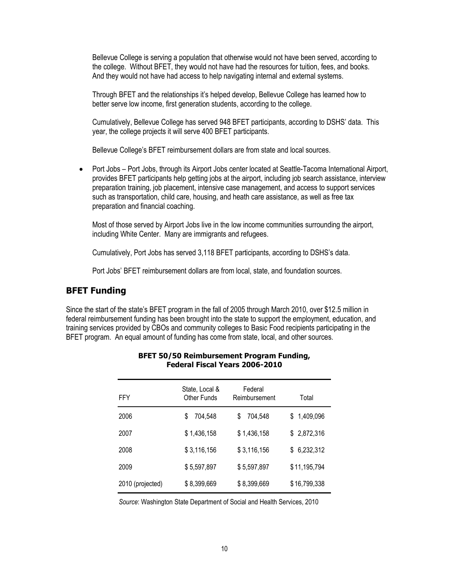Bellevue College is serving a population that otherwise would not have been served, according to the college. Without BFET, they would not have had the resources for tuition, fees, and books. And they would not have had access to help navigating internal and external systems.

Through BFET and the relationships it's helped develop, Bellevue College has learned how to better serve low income, first generation students, according to the college.

Cumulatively, Bellevue College has served 948 BFET participants, according to DSHS' data. This year, the college projects it will serve 400 BFET participants.

Bellevue College's BFET reimbursement dollars are from state and local sources.

• Port Jobs – Port Jobs, through its Airport Jobs center located at Seattle-Tacoma International Airport, provides BFET participants help getting jobs at the airport, including job search assistance, interview preparation training, job placement, intensive case management, and access to support services such as transportation, child care, housing, and heath care assistance, as well as free tax preparation and financial coaching.

Most of those served by Airport Jobs live in the low income communities surrounding the airport, including White Center. Many are immigrants and refugees.

Cumulatively, Port Jobs has served 3,118 BFET participants, according to DSHS's data.

Port Jobs' BFET reimbursement dollars are from local, state, and foundation sources.

### **BFET Funding**

Since the start of the state's BFET program in the fall of 2005 through March 2010, over \$12.5 million in federal reimbursement funding has been brought into the state to support the employment, education, and training services provided by CBOs and community colleges to Basic Food recipients participating in the BFET program. An equal amount of funding has come from state, local, and other sources.

| FFY              | State, Local &<br>Other Funds | Federal<br>Reimbursement | Total        |
|------------------|-------------------------------|--------------------------|--------------|
| 2006             | 704,548<br>\$                 | 704,548<br>\$            | \$1,409,096  |
| 2007             | \$1,436,158                   | \$1,436,158              | \$2,872,316  |
| 2008             | \$3,116,156                   | \$3,116,156              | \$6,232,312  |
| 2009             | \$5,597,897                   | \$5,597,897              | \$11,195,794 |
| 2010 (projected) | \$8,399,669                   | \$8,399,669              | \$16,799,338 |

#### **BFET 50/50 Reimbursement Program Funding, Federal Fiscal Years 2006-2010**

*Source*: Washington State Department of Social and Health Services, 2010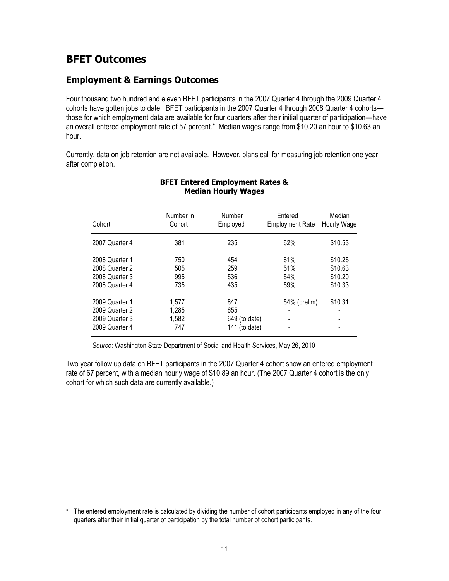## **BFET Outcomes**

\_\_\_\_\_\_\_\_\_\_

## **Employment & Earnings Outcomes**

Four thousand two hundred and eleven BFET participants in the 2007 Quarter 4 through the 2009 Quarter 4 cohorts have gotten jobs to date. BFET participants in the 2007 Quarter 4 through 2008 Quarter 4 cohorts those for which employment data are available for four quarters after their initial quarter of participation—have an overall entered employment rate of 57 percent.\* Median wages range from \$10.20 an hour to \$10.63 an hour.

Currently, data on job retention are not available. However, plans call for measuring job retention one year after completion.

| Cohort                                                               | Number in<br>Cohort            | Number<br>Employed                           | Entered<br><b>Employment Rate</b> | Median<br>Hourly Wage                    |
|----------------------------------------------------------------------|--------------------------------|----------------------------------------------|-----------------------------------|------------------------------------------|
| 2007 Quarter 4                                                       | 381                            | 235                                          | 62%                               | \$10.53                                  |
| 2008 Quarter 1<br>2008 Quarter 2<br>2008 Quarter 3<br>2008 Quarter 4 | 750<br>505<br>995<br>735       | 454<br>259<br>536<br>435                     | 61%<br>51%<br>54%<br>59%          | \$10.25<br>\$10.63<br>\$10.20<br>\$10.33 |
| 2009 Quarter 1<br>2009 Quarter 2<br>2009 Quarter 3<br>2009 Quarter 4 | 1,577<br>1,285<br>1,582<br>747 | 847<br>655<br>649 (to date)<br>141 (to date) | 54% (prelim)                      | \$10.31                                  |

### **BFET Entered Employment Rates & Median Hourly Wages**

*Source*: Washington State Department of Social and Health Services, May 26, 2010

Two year follow up data on BFET participants in the 2007 Quarter 4 cohort show an entered employment rate of 67 percent, with a median hourly wage of \$10.89 an hour. (The 2007 Quarter 4 cohort is the only cohort for which such data are currently available.)

<sup>\*</sup> The entered employment rate is calculated by dividing the number of cohort participants employed in any of the four quarters after their initial quarter of participation by the total number of cohort participants.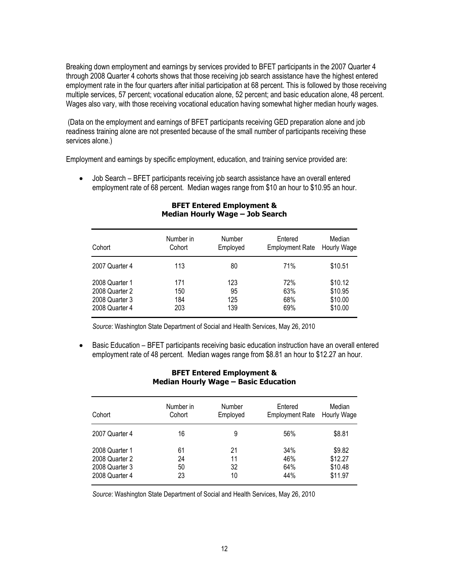Breaking down employment and earnings by services provided to BFET participants in the 2007 Quarter 4 through 2008 Quarter 4 cohorts shows that those receiving job search assistance have the highest entered employment rate in the four quarters after initial participation at 68 percent. This is followed by those receiving multiple services, 57 percent; vocational education alone, 52 percent; and basic education alone, 48 percent. Wages also vary, with those receiving vocational education having somewhat higher median hourly wages.

(Data on the employment and earnings of BFET participants receiving GED preparation alone and job readiness training alone are not presented because of the small number of participants receiving these services alone.)

Employment and earnings by specific employment, education, and training service provided are:

• Job Search – BFET participants receiving job search assistance have an overall entered employment rate of 68 percent. Median wages range from \$10 an hour to \$10.95 an hour.

| Cohort         | Number in | Number   | Entered                | Median      |
|----------------|-----------|----------|------------------------|-------------|
|                | Cohort    | Employed | <b>Employment Rate</b> | Hourly Wage |
| 2007 Quarter 4 | 113       | 80       | 71%                    | \$10.51     |
| 2008 Quarter 1 | 171       | 123      | 72%                    | \$10.12     |
| 2008 Quarter 2 | 150       | 95       | 63%                    | \$10.95     |
| 2008 Quarter 3 | 184       | 125      | 68%                    | \$10.00     |
| 2008 Quarter 4 | 203       | 139      | 69%                    | \$10.00     |

#### **BFET Entered Employment & Median Hourly Wage – Job Search**

*Source*: Washington State Department of Social and Health Services, May 26, 2010

• Basic Education – BFET participants receiving basic education instruction have an overall entered employment rate of 48 percent. Median wages range from \$8.81 an hour to \$12.27 an hour.

#### **BFET Entered Employment & Median Hourly Wage – Basic Education**

| Cohort         | Number in | Number   | Entered                | Median      |
|----------------|-----------|----------|------------------------|-------------|
|                | Cohort    | Employed | <b>Employment Rate</b> | Hourly Wage |
| 2007 Quarter 4 | 16        | 9        | 56%                    | \$8.81      |
| 2008 Quarter 1 | 61        | 21       | 34%                    | \$9.82      |
| 2008 Quarter 2 | 24        | 11       | 46%                    | \$12.27     |
| 2008 Quarter 3 | 50        | 32       | 64%                    | \$10.48     |
| 2008 Quarter 4 | 23        | 10       | 44%                    | \$11.97     |

*Source*: Washington State Department of Social and Health Services, May 26, 2010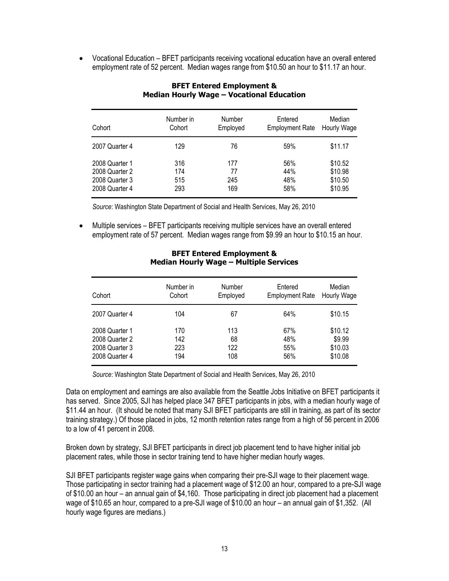Vocational Education – BFET participants receiving vocational education have an overall entered employment rate of 52 percent. Median wages range from \$10.50 an hour to \$11.17 an hour.

| Cohort         | Number in | Number   | Entered                | Median      |
|----------------|-----------|----------|------------------------|-------------|
|                | Cohort    | Employed | <b>Employment Rate</b> | Hourly Wage |
| 2007 Quarter 4 | 129       | 76       | 59%                    | \$11.17     |
| 2008 Quarter 1 | 316       | 177      | 56%                    | \$10.52     |
| 2008 Quarter 2 | 174       | 77       | 44%                    | \$10.98     |
| 2008 Quarter 3 | 515       | 245      | 48%                    | \$10.50     |
| 2008 Quarter 4 | 293       | 169      | 58%                    | \$10.95     |

### **BFET Entered Employment & Median Hourly Wage – Vocational Education**

*Source*: Washington State Department of Social and Health Services, May 26, 2010

 Multiple services – BFET participants receiving multiple services have an overall entered employment rate of 57 percent. Median wages range from \$9.99 an hour to \$10.15 an hour.

| Cohort         | Number in | Number   | Entered                | Median      |
|----------------|-----------|----------|------------------------|-------------|
|                | Cohort    | Employed | <b>Employment Rate</b> | Hourly Wage |
| 2007 Quarter 4 | 104       | 67       | 64%                    | \$10.15     |
| 2008 Quarter 1 | 170       | 113      | 67%                    | \$10.12     |
| 2008 Quarter 2 | 142       | 68       | 48%                    | \$9.99      |
| 2008 Quarter 3 | 223       | 122      | 55%                    | \$10.03     |
| 2008 Quarter 4 | 194       | 108      | 56%                    | \$10.08     |

#### **BFET Entered Employment & Median Hourly Wage – Multiple Services**

*Source*: Washington State Department of Social and Health Services, May 26, 2010

Data on employment and earnings are also available from the Seattle Jobs Initiative on BFET participants it has served. Since 2005, SJI has helped place 347 BFET participants in jobs, with a median hourly wage of \$11.44 an hour. (It should be noted that many SJI BFET participants are still in training, as part of its sector training strategy.) Of those placed in jobs, 12 month retention rates range from a high of 56 percent in 2006 to a low of 41 percent in 2008.

Broken down by strategy, SJI BFET participants in direct job placement tend to have higher initial job placement rates, while those in sector training tend to have higher median hourly wages.

SJI BFET participants register wage gains when comparing their pre-SJI wage to their placement wage. Those participating in sector training had a placement wage of \$12.00 an hour, compared to a pre-SJI wage of \$10.00 an hour – an annual gain of \$4,160. Those participating in direct job placement had a placement wage of \$10.65 an hour, compared to a pre-SJI wage of \$10.00 an hour – an annual gain of \$1,352. (All hourly wage figures are medians.)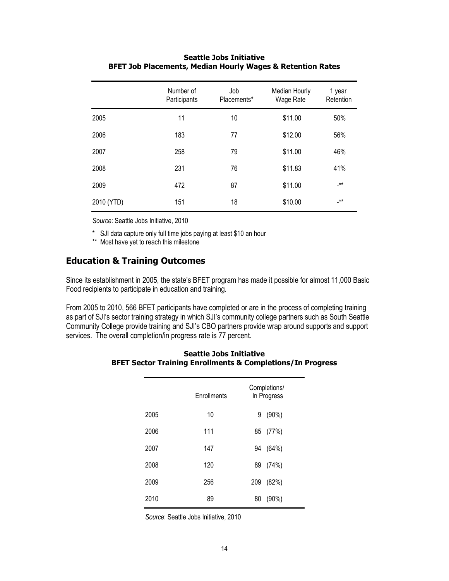|            | Number of<br>Participants | Job<br>Placements* | Median Hourly<br>Wage Rate | 1 year<br>Retention |
|------------|---------------------------|--------------------|----------------------------|---------------------|
| 2005       | 11                        | 10                 | \$11.00                    | 50%                 |
| 2006       | 183                       | 77                 | \$12.00                    | 56%                 |
| 2007       | 258                       | 79                 | \$11.00                    | 46%                 |
| 2008       | 231                       | 76                 | \$11.83                    | 41%                 |
| 2009       | 472                       | 87                 | \$11.00                    | _**                 |
| 2010 (YTD) | 151                       | 18                 | \$10.00                    | _**                 |

### **Seattle Jobs Initiative BFET Job Placements, Median Hourly Wages & Retention Rates**

*Source*: Seattle Jobs Initiative, 2010

\* SJI data capture only full time jobs paying at least \$10 an hour

\*\* Most have yet to reach this milestone

## **Education & Training Outcomes**

Since its establishment in 2005, the state's BFET program has made it possible for almost 11,000 Basic Food recipients to participate in education and training.

From 2005 to 2010, 566 BFET participants have completed or are in the process of completing training as part of SJI's sector training strategy in which SJI's community college partners such as South Seattle Community College provide training and SJI's CBO partners provide wrap around supports and support services. The overall completion/in progress rate is 77 percent.

|      | Enrollments | Completions/<br>In Progress |
|------|-------------|-----------------------------|
| 2005 | 10          | $(90\%)$<br>9               |
| 2006 | 111         | 85 (77%)                    |
| 2007 | 147         | (64%)<br>94                 |
| 2008 | 120         | 89 (74%)                    |
| 2009 | 256         | 209<br>(82%)                |
| 2010 | 89          | (90%)<br>80                 |

#### **Seattle Jobs Initiative BFET Sector Training Enrollments & Completions/In Progress**

*Source*: Seattle Jobs Initiative, 2010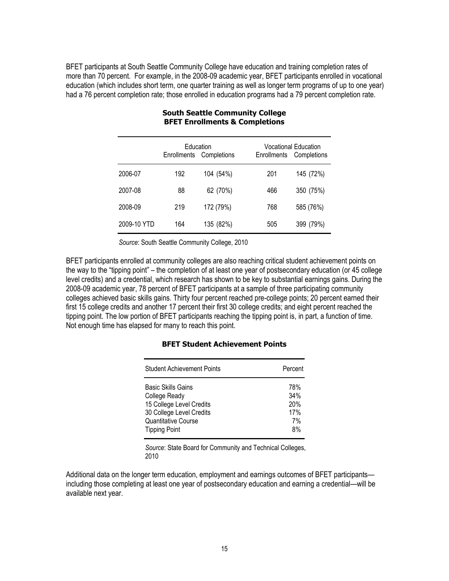BFET participants at South Seattle Community College have education and training completion rates of more than 70 percent. For example, in the 2008-09 academic year, BFET participants enrolled in vocational education (which includes short term, one quarter training as well as longer term programs of up to one year) had a 76 percent completion rate; those enrolled in education programs had a 79 percent completion rate.

|             | Education<br>Completions<br>Enrollments |           | <b>Enrollments</b> | <b>Vocational Education</b><br>Completions |
|-------------|-----------------------------------------|-----------|--------------------|--------------------------------------------|
| 2006-07     | 192                                     | 104 (54%) | 201                | 145 (72%)                                  |
| 2007-08     | 88                                      | 62 (70%)  | 466                | 350 (75%)                                  |
| 2008-09     | 219                                     | 172 (79%) | 768                | 585 (76%)                                  |
| 2009-10 YTD | 164                                     | 135 (82%) | 505                | 399 (79%)                                  |

#### **South Seattle Community College BFET Enrollments & Completions**

*Source*: South Seattle Community College, 2010

BFET participants enrolled at community colleges are also reaching critical student achievement points on the way to the "tipping point" – the completion of at least one year of postsecondary education (or 45 college level credits) and a credential, which research has shown to be key to substantial earnings gains. During the 2008-09 academic year, 78 percent of BFET participants at a sample of three participating community colleges achieved basic skills gains. Thirty four percent reached pre-college points; 20 percent earned their first 15 college credits and another 17 percent their first 30 college credits; and eight percent reached the tipping point. The low portion of BFET participants reaching the tipping point is, in part, a function of time. Not enough time has elapsed for many to reach this point.

### **BFET Student Achievement Points**

| <b>Student Achievement Points</b> | Percent |
|-----------------------------------|---------|
| <b>Basic Skills Gains</b>         | 78%     |
| College Ready                     | 34%     |
| 15 College Level Credits          | 20%     |
| 30 College Level Credits          | 17%     |
| Quantitative Course               | 7%      |
| <b>Tipping Point</b>              | 8%      |

*Source*: State Board for Community and Technical Colleges, 2010

Additional data on the longer term education, employment and earnings outcomes of BFET participants including those completing at least one year of postsecondary education and earning a credential—will be available next year.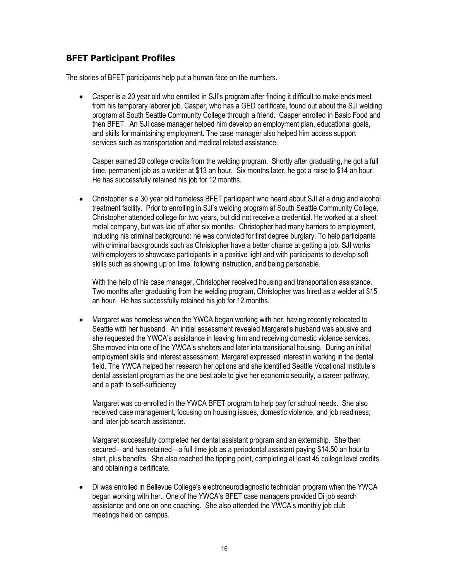## **BFET Participant Profiles**

The stories of BFET participants help put a human face on the numbers.

 Casper is a 20 year old who enrolled in SJI's program after finding it difficult to make ends meet from his temporary laborer job. Casper, who has a GED certificate, found out about the SJI welding program at South Seattle Community College through a friend. Casper enrolled in Basic Food and then BFET. An SJI case manager helped him develop an employment plan, educational goals, and skills for maintaining employment. The case manager also helped him access support services such as transportation and medical related assistance.

Casper earned 20 college credits from the welding program. Shortly after graduating, he got a full time, permanent job as a welder at \$13 an hour. Six months later, he got a raise to \$14 an hour. He has successfully retained his job for 12 months.

 Christopher is a 30 year old homeless BFET participant who heard about SJI at a drug and alcohol treatment facility. Prior to enrolling in SJI's welding program at South Seattle Community College, Christopher attended college for two years, but did not receive a credential. He worked at a sheet metal company, but was laid off after six months. Christopher had many barriers to employment, including his criminal background: he was convicted for first degree burglary. To help participants with criminal backgrounds such as Christopher have a better chance at getting a job, SJI works with employers to showcase participants in a positive light and with participants to develop soft skills such as showing up on time, following instruction, and being personable.

With the help of his case manager, Christopher received housing and transportation assistance. Two months after graduating from the welding program, Christopher was hired as a welder at \$15 an hour. He has successfully retained his job for 12 months.

 Margaret was homeless when the YWCA began working with her, having recently relocated to Seattle with her husband. An initial assessment revealed Margaret's husband was abusive and she requested the YWCA's assistance in leaving him and receiving domestic violence services. She moved into one of the YWCA's shelters and later into transitional housing. During an initial employment skills and interest assessment, Margaret expressed interest in working in the dental field. The YWCA helped her research her options and she identified Seattle Vocational Institute's dental assistant program as the one best able to give her economic security, a career pathway, and a path to self-sufficiency

Margaret was co-enrolled in the YWCA BFET program to help pay for school needs. She also received case management, focusing on housing issues, domestic violence, and job readiness; and later job search assistance.

Margaret successfully completed her dental assistant program and an externship. She then secured—and has retained—a full time job as a periodontal assistant paying \$14.50 an hour to start, plus benefits. She also reached the tipping point, completing at least 45 college level credits and obtaining a certificate.

 Di was enrolled in Bellevue College's electroneurodiagnostic technician program when the YWCA began working with her. One of the YWCA's BFET case managers provided Di job search assistance and one on one coaching. She also attended the YWCA's monthly job club meetings held on campus.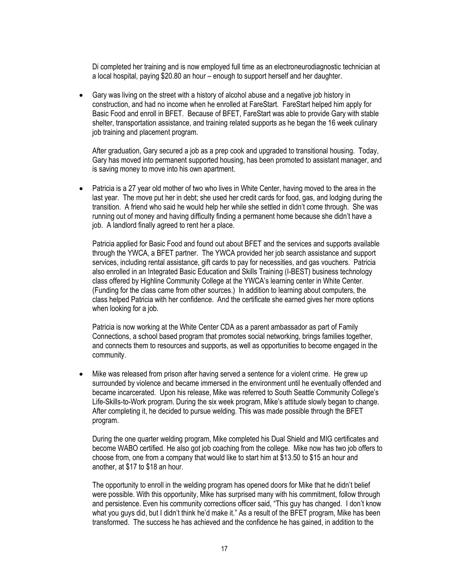Di completed her training and is now employed full time as an electroneurodiagnostic technician at a local hospital, paying \$20.80 an hour – enough to support herself and her daughter.

 Gary was living on the street with a history of alcohol abuse and a negative job history in construction, and had no income when he enrolled at FareStart. FareStart helped him apply for Basic Food and enroll in BFET. Because of BFET, FareStart was able to provide Gary with stable shelter, transportation assistance, and training related supports as he began the 16 week culinary job training and placement program.

After graduation, Gary secured a job as a prep cook and upgraded to transitional housing. Today, Gary has moved into permanent supported housing, has been promoted to assistant manager, and is saving money to move into his own apartment.

 Patricia is a 27 year old mother of two who lives in White Center, having moved to the area in the last year. The move put her in debt; she used her credit cards for food, gas, and lodging during the transition. A friend who said he would help her while she settled in didn't come through. She was running out of money and having difficulty finding a permanent home because she didn't have a job. A landlord finally agreed to rent her a place.

Patricia applied for Basic Food and found out about BFET and the services and supports available through the YWCA, a BFET partner. The YWCA provided her job search assistance and support services, including rental assistance, gift cards to pay for necessities, and gas vouchers. Patricia also enrolled in an Integrated Basic Education and Skills Training (I-BEST) business technology class offered by Highline Community College at the YWCA's learning center in White Center. (Funding for the class came from other sources.) In addition to learning about computers, the class helped Patricia with her confidence. And the certificate she earned gives her more options when looking for a job.

Patricia is now working at the White Center CDA as a parent ambassador as part of Family Connections, a school based program that promotes social networking, brings families together, and connects them to resources and supports, as well as opportunities to become engaged in the community.

 Mike was released from prison after having served a sentence for a violent crime. He grew up surrounded by violence and became immersed in the environment until he eventually offended and became incarcerated. Upon his release, Mike was referred to South Seattle Community College's Life-Skills-to-Work program. During the six week program, Mike's attitude slowly began to change. After completing it, he decided to pursue welding. This was made possible through the BFET program.

During the one quarter welding program, Mike completed his Dual Shield and MIG certificates and become WABO certified. He also got job coaching from the college. Mike now has two job offers to choose from, one from a company that would like to start him at \$13.50 to \$15 an hour and another, at \$17 to \$18 an hour.

The opportunity to enroll in the welding program has opened doors for Mike that he didn't belief were possible. With this opportunity, Mike has surprised many with his commitment, follow through and persistence. Even his community corrections officer said, "This guy has changed. I don't know what you guys did, but I didn't think he'd make it." As a result of the BFET program, Mike has been transformed. The success he has achieved and the confidence he has gained, in addition to the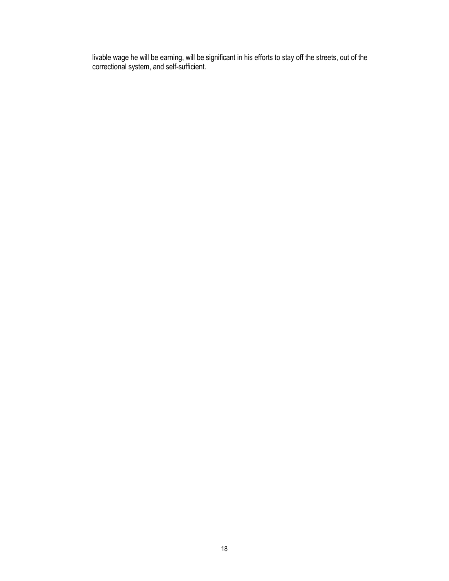livable wage he will be earning, will be significant in his efforts to stay off the streets, out of the correctional system, and self-sufficient.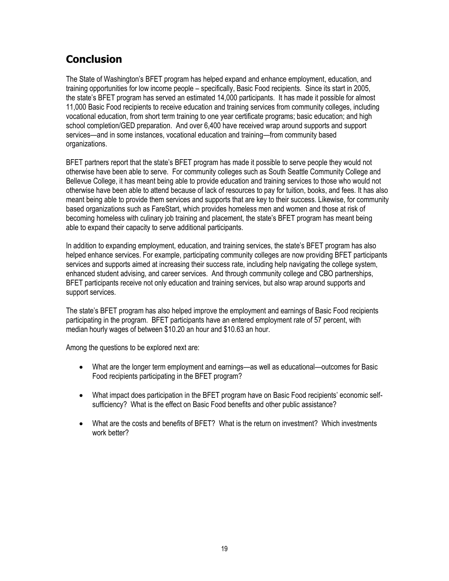## **Conclusion**

The State of Washington's BFET program has helped expand and enhance employment, education, and training opportunities for low income people – specifically, Basic Food recipients. Since its start in 2005, the state's BFET program has served an estimated 14,000 participants. It has made it possible for almost 11,000 Basic Food recipients to receive education and training services from community colleges, including vocational education, from short term training to one year certificate programs; basic education; and high school completion/GED preparation. And over 6,400 have received wrap around supports and support services—and in some instances, vocational education and training—from community based organizations.

BFET partners report that the state's BFET program has made it possible to serve people they would not otherwise have been able to serve. For community colleges such as South Seattle Community College and Bellevue College, it has meant being able to provide education and training services to those who would not otherwise have been able to attend because of lack of resources to pay for tuition, books, and fees. It has also meant being able to provide them services and supports that are key to their success. Likewise, for community based organizations such as FareStart, which provides homeless men and women and those at risk of becoming homeless with culinary job training and placement, the state's BFET program has meant being able to expand their capacity to serve additional participants.

In addition to expanding employment, education, and training services, the state's BFET program has also helped enhance services. For example, participating community colleges are now providing BFET participants services and supports aimed at increasing their success rate, including help navigating the college system, enhanced student advising, and career services. And through community college and CBO partnerships, BFET participants receive not only education and training services, but also wrap around supports and support services.

The state's BFET program has also helped improve the employment and earnings of Basic Food recipients participating in the program. BFET participants have an entered employment rate of 57 percent, with median hourly wages of between \$10.20 an hour and \$10.63 an hour.

Among the questions to be explored next are:

- What are the longer term employment and earnings—as well as educational—outcomes for Basic Food recipients participating in the BFET program?
- What impact does participation in the BFET program have on Basic Food recipients' economic selfsufficiency? What is the effect on Basic Food benefits and other public assistance?
- What are the costs and benefits of BFET? What is the return on investment? Which investments work better?